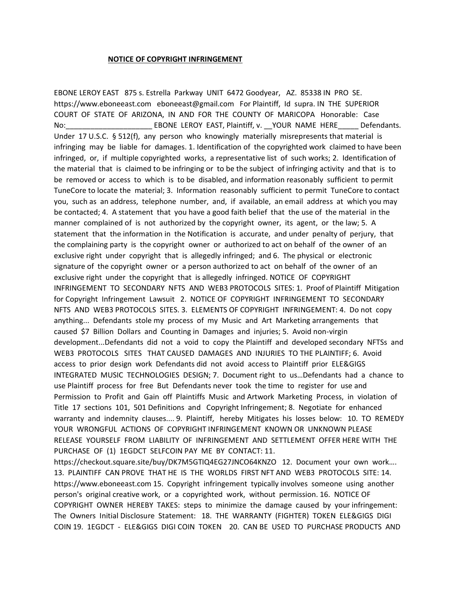## **NOTICE OF COPYRIGHT INFRINGEMENT**

EBONE LEROY EAST 875 s. Estrella Parkway UNIT 6472 Goodyear, AZ. 85338 IN PRO SE. https://www.eboneeast.com eboneeast@gmail.com For Plaintiff, Id supra. IN THE SUPERIOR COURT OF STATE OF ARIZONA, IN AND FOR THE COUNTY OF MARICOPA Honorable: Case No: The Superson EBONE LEROY EAST, Plaintiff, v. \_\_YOUR NAME HERE The Defendants. Under 17 U.S.C. § 512(f), any person who knowingly materially misrepresents that material is infringing may be liable for damages. 1. Identification of the copyrighted work claimed to have been infringed, or, if multiple copyrighted works, a representative list of such works; 2. Identification of the material that is claimed to be infringing or to be the subject of infringing activity and that is to be removed or access to which is to be disabled, and information reasonably sufficient to permit TuneCore to locate the material; 3. Information reasonably sufficient to permit TuneCore to contact you, such as an address, telephone number, and, if available, an email address at which you may be contacted; 4. A statement that you have a good faith belief that the use of the material in the manner complained of is not authorized by the copyright owner, its agent, or the law; 5. A statement that the information in the Notification is accurate, and under penalty of perjury, that the complaining party is the copyright owner or authorized to act on behalf of the owner of an exclusive right under copyright that is allegedly infringed; and 6. The physical or electronic signature of the copyright owner or a person authorized to act on behalf of the owner of an exclusive right under the copyright that is allegedly infringed. NOTICE OF COPYRIGHT INFRINGEMENT TO SECONDARY NFTS AND WEB3 PROTOCOLS SITES: 1. Proof of Plaintiff Mitigation for Copyright Infringement Lawsuit 2. NOTICE OF COPYRIGHT INFRINGEMENT TO SECONDARY NFTS AND WEB3 PROTOCOLS SITES. 3. ELEMENTS OF COPYRIGHT INFRINGEMENT: 4. Do not copy anything... Defendants stole my process of my Music and Art Marketing arrangements that caused \$7 Billion Dollars and Counting in Damages and injuries; 5. Avoid non-virgin development...Defendants did not a void to copy the Plaintiff and developed secondary NFTSs and WEB3 PROTOCOLS SITES THAT CAUSED DAMAGES AND INJURIES TO THE PLAINTIFF; 6. Avoid access to prior design work Defendants did not avoid access to Plaintiff prior ELE&GIGS INTEGRATED MUSIC TECHNOLOGIES DESIGN; 7. Document right to us…Defendants had a chance to use Plaintiff process for free But Defendants never took the time to register for use and Permission to Profit and Gain off Plaintiffs Music and Artwork Marketing Process, in violation of Title 17 sections 101, 501 Definitions and Copyright Infringement; 8. Negotiate for enhanced warranty and indemnity clauses.... 9. Plaintiff, hereby Mitigates his losses below: 10. TO REMEDY YOUR WRONGFUL ACTIONS OF COPYRIGHT INFRINGEMENT KNOWN OR UNKNOWN PLEASE RELEASE YOURSELF FROM LIABILITY OF INFRINGEMENT AND SETTLEMENT OFFER HERE WITH THE PURCHASE OF (1) 1EGDCT SELFCOIN PAY ME BY CONTACT: 11.

https://checkout.square.site/buy/DK7M5GTIQ4EG27JNCO64KNZO 12. Document your own work…. 13. PLAINTIFF CAN PROVE THAT HE IS THE WORLDS FIRST NFT AND WEB3 PROTOCOLS SITE: 14. https://www.eboneeast.com 15. Copyright infringement typically involves someone using another person's original creative work, or a copyrighted work, without permission. 16. NOTICE OF COPYRIGHT OWNER HEREBY TAKES: steps to minimize the damage caused by your infringement: The Owners Initial Disclosure Statement: 18. THE WARRANTY (FIGHTER) TOKEN ELE&GIGS DIGI COIN 19. 1EGDCT - ELE&GIGS DIGI COIN TOKEN 20. CAN BE USED TO PURCHASE PRODUCTS AND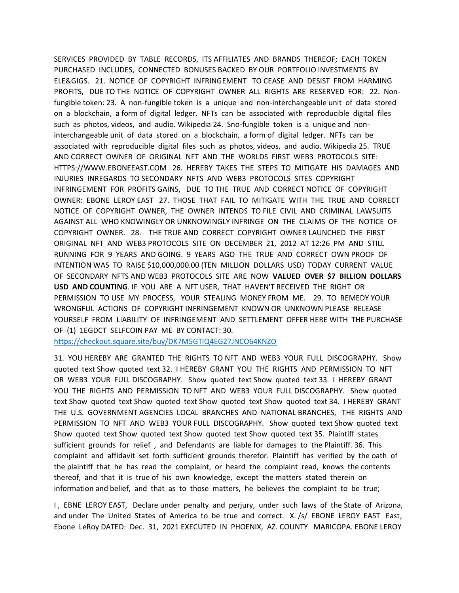SERVICES PROVIDED BY TABLE RECORDS, ITS AFFILIATES AND BRANDS THEREOF; EACH TOKEN PURCHASED INCLUDES, CONNECTED BONUSES BACKED BY OUR PORTFOLIO INVESTMENTS BY ELE&GIGS. 21. NOTICE OF COPYRIGHT INFRINGEMENT TO CEASE AND DESIST FROM HARMING PROFITS, DUE TO THE NOTICE OF COPYRIGHT OWNER ALL RIGHTS ARE RESERVED FOR: 22. Nonfungible token: 23. A non-fungible token is a unique and non-interchangeable unit of data stored on a blockchain, a form of digital ledger. NFTs can be associated with reproducible digital files such as photos, videos, and audio. Wikipedia 24. Sno-fungible token is a unique and noninterchangeable unit of data stored on a blockchain, a form of digital ledger. NFTs can be associated with reproducible digital files such as photos, videos, and audio. Wikipedia 25. TRUE AND CORRECT OWNER OF ORIGINAL NFT AND THE WORLDS FIRST WEB3 PROTOCOLS SITE: HTTPS://WWW.EBONEEAST.COM 26. HEREBY TAKES THE STEPS TO MITIGATE HIS DAMAGES AND INJURIES INREGARDS TO SECONDARY NFTS AND WEB3 PROTOCOLS SITES COPYRIGHT INFRINGEMENT FOR PROFITS GAINS, DUE TO THE TRUE AND CORRECT NOTICE OF COPYRIGHT OWNER: EBONE LEROY EAST 27. THOSE THAT FAIL TO MITIGATE WITH THE TRUE AND CORRECT NOTICE OF COPYRIGHT OWNER, THE OWNER INTENDS TO FILE CIVIL AND CRIMINAL LAWSUITS AGAINST ALL WHO KNOWINGLY OR UNKNOWINGLY INFRINGE ON THE CLAIMS OF THE NOTICE OF COPYRIGHT OWNER. 28. THE TRUE AND CORRECT COPYRIGHT OWNER LAUNCHED THE FIRST ORIGINAL NFT AND WEB3 PROTOCOLS SITE ON DECEMBER 21, 2012 AT 12:26 PM AND STILL RUNNING FOR 9 YEARS AND GOING. 9 YEARS AGO THE TRUE AND CORRECT OWN PROOF OF INTENTION WAS TO RAISE \$10,000,000.00 (TEN MILLION DOLLARS USD) TODAY CURRENT VALUE OF SECONDARY NFTS AND WEB3 PROTOCOLS SITE ARE NOW **VALUED OVER \$7 BILLION DOLLARS USD AND COUNTING**. IF YOU ARE A NFT USER, THAT HAVEN'T RECEIVED THE RIGHT OR PERMISSION TO USE MY PROCESS, YOUR STEALING MONEY FROM ME. 29. TO REMEDY YOUR WRONGFUL ACTIONS OF COPYRIGHT INFRINGEMENT KNOWN OR UNKNOWN PLEASE RELEASE YOURSELF FROM LIABILITY OF INFRINGEMENT AND SETTLEMENT OFFER HERE WITH THE PURCHASE OF (1) 1EGDCT SELFCOIN PAY ME BY CONTACT: 30.

<https://checkout.square.site/buy/DK7M5GTIQ4EG27JNCO64KNZO>

31. YOU HEREBY ARE GRANTED THE RIGHTS TO NFT AND WEB3 YOUR FULL DISCOGRAPHY. Show quoted text Show quoted text 32. I HEREBY GRANT YOU THE RIGHTS AND PERMISSION TO NFT OR WEB3 YOUR FULL DISCOGRAPHY. Show quoted text Show quoted text 33. I HEREBY GRANT YOU THE RIGHTS AND PERMISSION TO NFT AND WEB3 YOUR FULL DISCOGRAPHY. Show quoted text Show quoted text Show quoted text Show quoted text Show quoted text 34. I HEREBY GRANT THE U.S. GOVERNMENT AGENCIES LOCAL BRANCHES AND NATIONAL BRANCHES, THE RIGHTS AND PERMISSION TO NFT AND WEB3 YOUR FULL DISCOGRAPHY. Show quoted text Show quoted text Show quoted text Show quoted text Show quoted text Show quoted text 35. Plaintiff states sufficient grounds for relief , and Defendants are liable for damages to the Plaintiff. 36. This complaint and affidavit set forth sufficient grounds therefor. Plaintiff has verified by the oath of the plaintiff that he has read the complaint, or heard the complaint read, knows the contents thereof, and that it is true of his own knowledge, except the matters stated therein on information and belief, and that as to those matters, he believes the complaint to be true;

I , EBNE LEROY EAST, Declare under penalty and perjury, under such laws of the State of Arizona, and under The United States of America to be true and correct. X. /s/ EBONE LEROY EAST East, Ebone LeRoy DATED: Dec. 31, 2021 EXECUTED IN PHOENIX, AZ. COUNTY MARICOPA. EBONE LEROY